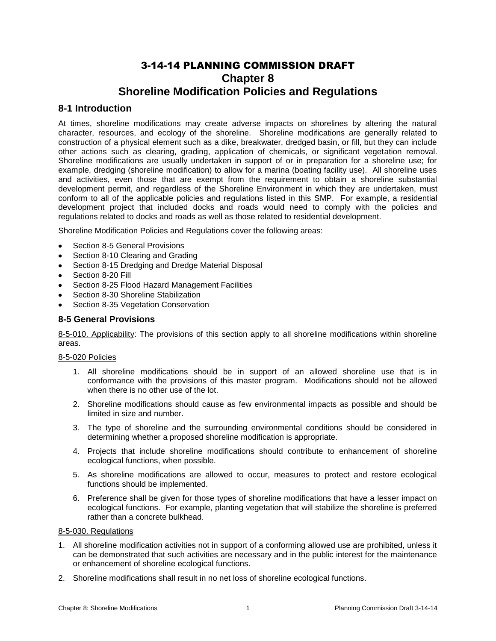# 3-14-14 PLANNING COMMISSION DRAFT **Chapter 8 Shoreline Modification Policies and Regulations**

# **8-1 Introduction**

At times, shoreline modifications may create adverse impacts on shorelines by altering the natural character, resources, and ecology of the shoreline. Shoreline modifications are generally related to construction of a physical element such as a dike, breakwater, dredged basin, or fill, but they can include other actions such as clearing, grading, application of chemicals, or significant vegetation removal. Shoreline modifications are usually undertaken in support of or in preparation for a shoreline use; for example, dredging (shoreline modification) to allow for a marina (boating facility use). All shoreline uses and activities, even those that are exempt from the requirement to obtain a shoreline substantial development permit, and regardless of the Shoreline Environment in which they are undertaken, must conform to all of the applicable policies and regulations listed in this SMP. For example, a residential development project that included docks and roads would need to comply with the policies and regulations related to docks and roads as well as those related to residential development.

Shoreline Modification Policies and Regulations cover the following areas:

- Section 8-5 General Provisions
- Section 8-10 Clearing and Grading
- Section 8-15 Dredging and Dredge Material Disposal
- Section 8-20 Fill
- Section 8-25 Flood Hazard Management Facilities
- Section 8-30 Shoreline Stabilization
- Section 8-35 Vegetation Conservation

### **8-5 General Provisions**

8-5-010. Applicability: The provisions of this section apply to all shoreline modifications within shoreline areas.

### 8-5-020 Policies

- 1. All shoreline modifications should be in support of an allowed shoreline use that is in conformance with the provisions of this master program. Modifications should not be allowed when there is no other use of the lot.
- 2. Shoreline modifications should cause as few environmental impacts as possible and should be limited in size and number.
- 3. The type of shoreline and the surrounding environmental conditions should be considered in determining whether a proposed shoreline modification is appropriate.
- 4. Projects that include shoreline modifications should contribute to enhancement of shoreline ecological functions, when possible.
- 5. As shoreline modifications are allowed to occur, measures to protect and restore ecological functions should be implemented.
- 6. Preference shall be given for those types of shoreline modifications that have a lesser impact on ecological functions. For example, planting vegetation that will stabilize the shoreline is preferred rather than a concrete bulkhead.

### 8-5-030. Regulations

- 1. All shoreline modification activities not in support of a conforming allowed use are prohibited, unless it can be demonstrated that such activities are necessary and in the public interest for the maintenance or enhancement of shoreline ecological functions.
- 2. Shoreline modifications shall result in no net loss of shoreline ecological functions.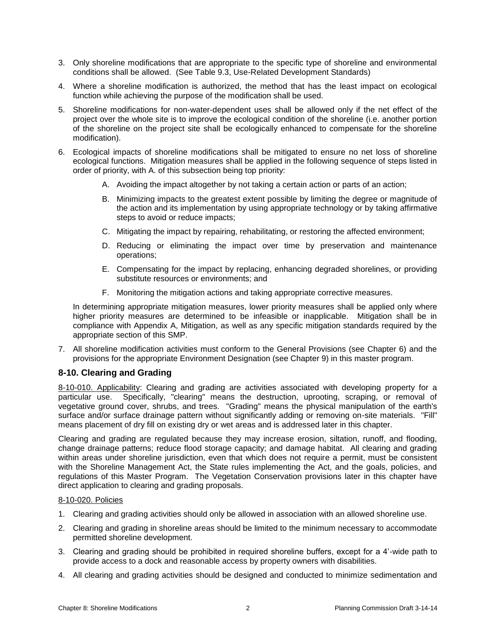- 3. Only shoreline modifications that are appropriate to the specific type of shoreline and environmental conditions shall be allowed. (See Table 9.3, Use-Related Development Standards)
- 4. Where a shoreline modification is authorized, the method that has the least impact on ecological function while achieving the purpose of the modification shall be used.
- 5. Shoreline modifications for non-water-dependent uses shall be allowed only if the net effect of the project over the whole site is to improve the ecological condition of the shoreline (i.e. another portion of the shoreline on the project site shall be ecologically enhanced to compensate for the shoreline modification).
- 6. Ecological impacts of shoreline modifications shall be mitigated to ensure no net loss of shoreline ecological functions. Mitigation measures shall be applied in the following sequence of steps listed in order of priority, with A. of this subsection being top priority:
	- A. Avoiding the impact altogether by not taking a certain action or parts of an action;
	- B. Minimizing impacts to the greatest extent possible by limiting the degree or magnitude of the action and its implementation by using appropriate technology or by taking affirmative steps to avoid or reduce impacts;
	- C. Mitigating the impact by repairing, rehabilitating, or restoring the affected environment;
	- D. Reducing or eliminating the impact over time by preservation and maintenance operations;
	- E. Compensating for the impact by replacing, enhancing degraded shorelines, or providing substitute resources or environments; and
	- F. Monitoring the mitigation actions and taking appropriate corrective measures.

In determining appropriate mitigation measures, lower priority measures shall be applied only where higher priority measures are determined to be infeasible or inapplicable. Mitigation shall be in compliance with Appendix A, Mitigation, as well as any specific mitigation standards required by the appropriate section of this SMP.

7. All shoreline modification activities must conform to the General Provisions (see Chapter 6) and the provisions for the appropriate Environment Designation (see Chapter 9) in this master program.

# **8-10. Clearing and Grading**

8-10-010. Applicability: Clearing and grading are activities associated with developing property for a particular use. Specifically, "clearing" means the destruction, uprooting, scraping, or removal of vegetative ground cover, shrubs, and trees. "Grading" means the physical manipulation of the earth's surface and/or surface drainage pattern without significantly adding or removing on-site materials. "Fill" means placement of dry fill on existing dry or wet areas and is addressed later in this chapter.

Clearing and grading are regulated because they may increase erosion, siltation, runoff, and flooding, change drainage patterns; reduce flood storage capacity; and damage habitat. All clearing and grading within areas under shoreline jurisdiction, even that which does not require a permit, must be consistent with the Shoreline Management Act, the State rules implementing the Act, and the goals, policies, and regulations of this Master Program. The Vegetation Conservation provisions later in this chapter have direct application to clearing and grading proposals.

### 8-10-020. Policies

- 1. Clearing and grading activities should only be allowed in association with an allowed shoreline use.
- 2. Clearing and grading in shoreline areas should be limited to the minimum necessary to accommodate permitted shoreline development.
- 3. Clearing and grading should be prohibited in required shoreline buffers, except for a 4'-wide path to provide access to a dock and reasonable access by property owners with disabilities.
- 4. All clearing and grading activities should be designed and conducted to minimize sedimentation and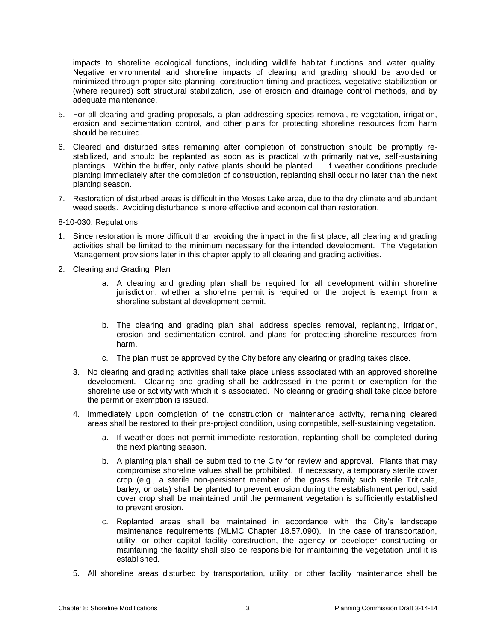impacts to shoreline ecological functions, including wildlife habitat functions and water quality. Negative environmental and shoreline impacts of clearing and grading should be avoided or minimized through proper site planning, construction timing and practices, vegetative stabilization or (where required) soft structural stabilization, use of erosion and drainage control methods, and by adequate maintenance.

- 5. For all clearing and grading proposals, a plan addressing species removal, re-vegetation, irrigation, erosion and sedimentation control, and other plans for protecting shoreline resources from harm should be required.
- 6. Cleared and disturbed sites remaining after completion of construction should be promptly restabilized, and should be replanted as soon as is practical with primarily native, self-sustaining plantings. Within the buffer, only native plants should be planted. If weather conditions preclude planting immediately after the completion of construction, replanting shall occur no later than the next planting season.
- 7. Restoration of disturbed areas is difficult in the Moses Lake area, due to the dry climate and abundant weed seeds. Avoiding disturbance is more effective and economical than restoration.

### 8-10-030. Regulations

- 1. Since restoration is more difficult than avoiding the impact in the first place, all clearing and grading activities shall be limited to the minimum necessary for the intended development. The Vegetation Management provisions later in this chapter apply to all clearing and grading activities.
- 2. Clearing and Grading Plan
	- a. A clearing and grading plan shall be required for all development within shoreline jurisdiction, whether a shoreline permit is required or the project is exempt from a shoreline substantial development permit.
	- b. The clearing and grading plan shall address species removal, replanting, irrigation, erosion and sedimentation control, and plans for protecting shoreline resources from harm.
	- c. The plan must be approved by the City before any clearing or grading takes place.
	- 3. No clearing and grading activities shall take place unless associated with an approved shoreline development. Clearing and grading shall be addressed in the permit or exemption for the shoreline use or activity with which it is associated. No clearing or grading shall take place before the permit or exemption is issued.
	- 4. Immediately upon completion of the construction or maintenance activity, remaining cleared areas shall be restored to their pre-project condition, using compatible, self-sustaining vegetation.
		- a. If weather does not permit immediate restoration, replanting shall be completed during the next planting season.
		- b. A planting plan shall be submitted to the City for review and approval. Plants that may compromise shoreline values shall be prohibited. If necessary, a temporary sterile cover crop (e.g., a sterile non-persistent member of the grass family such sterile Triticale, barley, or oats) shall be planted to prevent erosion during the establishment period; said cover crop shall be maintained until the permanent vegetation is sufficiently established to prevent erosion.
		- c. Replanted areas shall be maintained in accordance with the City's landscape maintenance requirements (MLMC Chapter 18.57.090). In the case of transportation, utility, or other capital facility construction, the agency or developer constructing or maintaining the facility shall also be responsible for maintaining the vegetation until it is established.
	- 5. All shoreline areas disturbed by transportation, utility, or other facility maintenance shall be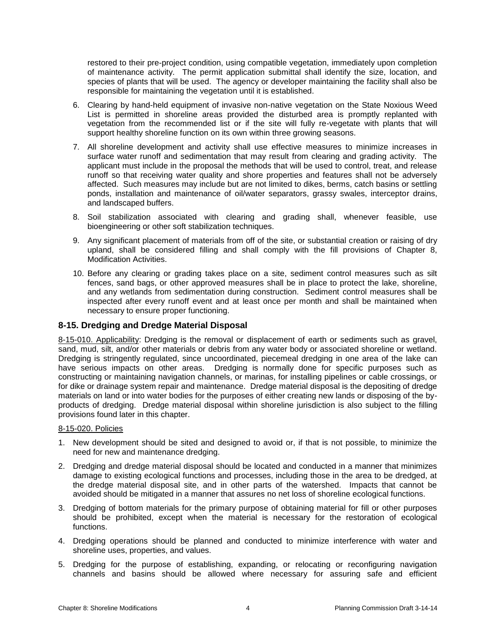restored to their pre-project condition, using compatible vegetation, immediately upon completion of maintenance activity. The permit application submittal shall identify the size, location, and species of plants that will be used. The agency or developer maintaining the facility shall also be responsible for maintaining the vegetation until it is established.

- 6. Clearing by hand-held equipment of invasive non-native vegetation on the State Noxious Weed List is permitted in shoreline areas provided the disturbed area is promptly replanted with vegetation from the recommended list or if the site will fully re-vegetate with plants that will support healthy shoreline function on its own within three growing seasons.
- 7. All shoreline development and activity shall use effective measures to minimize increases in surface water runoff and sedimentation that may result from clearing and grading activity. The applicant must include in the proposal the methods that will be used to control, treat, and release runoff so that receiving water quality and shore properties and features shall not be adversely affected. Such measures may include but are not limited to dikes, berms, catch basins or settling ponds, installation and maintenance of oil/water separators, grassy swales, interceptor drains, and landscaped buffers.
- 8. Soil stabilization associated with clearing and grading shall, whenever feasible, use bioengineering or other soft stabilization techniques.
- 9. Any significant placement of materials from off of the site, or substantial creation or raising of dry upland, shall be considered filling and shall comply with the fill provisions of Chapter 8, Modification Activities.
- 10. Before any clearing or grading takes place on a site, sediment control measures such as silt fences, sand bags, or other approved measures shall be in place to protect the lake, shoreline, and any wetlands from sedimentation during construction. Sediment control measures shall be inspected after every runoff event and at least once per month and shall be maintained when necessary to ensure proper functioning.

### **8-15. Dredging and Dredge Material Disposal**

8-15-010. Applicability: Dredging is the removal or displacement of earth or sediments such as gravel, sand, mud, silt, and/or other materials or debris from any water body or associated shoreline or wetland. Dredging is stringently regulated, since uncoordinated, piecemeal dredging in one area of the lake can have serious impacts on other areas. Dredging is normally done for specific purposes such as constructing or maintaining navigation channels, or marinas, for installing pipelines or cable crossings, or for dike or drainage system repair and maintenance. Dredge material disposal is the depositing of dredge materials on land or into water bodies for the purposes of either creating new lands or disposing of the byproducts of dredging. Dredge material disposal within shoreline jurisdiction is also subject to the filling provisions found later in this chapter.

### 8-15-020. Policies

- 1. New development should be sited and designed to avoid or, if that is not possible, to minimize the need for new and maintenance dredging.
- 2. Dredging and dredge material disposal should be located and conducted in a manner that minimizes damage to existing ecological functions and processes, including those in the area to be dredged, at the dredge material disposal site, and in other parts of the watershed. Impacts that cannot be avoided should be mitigated in a manner that assures no net loss of shoreline ecological functions.
- 3. Dredging of bottom materials for the primary purpose of obtaining material for fill or other purposes should be prohibited, except when the material is necessary for the restoration of ecological functions.
- 4. Dredging operations should be planned and conducted to minimize interference with water and shoreline uses, properties, and values.
- 5. Dredging for the purpose of establishing, expanding, or relocating or reconfiguring navigation channels and basins should be allowed where necessary for assuring safe and efficient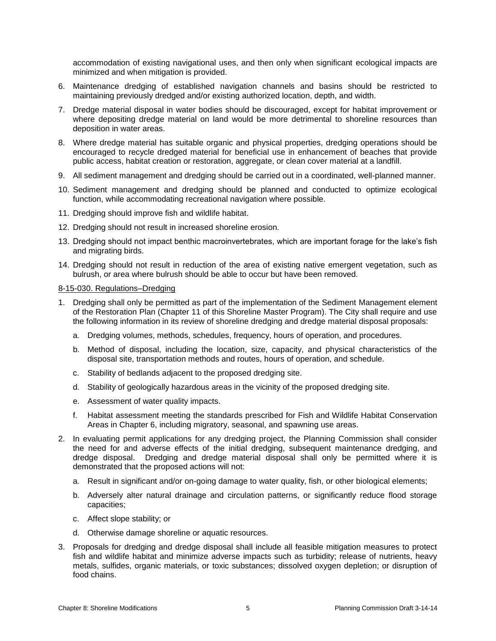accommodation of existing navigational uses, and then only when significant ecological impacts are minimized and when mitigation is provided.

- 6. Maintenance dredging of established navigation channels and basins should be restricted to maintaining previously dredged and/or existing authorized location, depth, and width.
- 7. Dredge material disposal in water bodies should be discouraged, except for habitat improvement or where depositing dredge material on land would be more detrimental to shoreline resources than deposition in water areas.
- 8. Where dredge material has suitable organic and physical properties, dredging operations should be encouraged to recycle dredged material for beneficial use in enhancement of beaches that provide public access, habitat creation or restoration, aggregate, or clean cover material at a landfill.
- 9. All sediment management and dredging should be carried out in a coordinated, well-planned manner.
- 10. Sediment management and dredging should be planned and conducted to optimize ecological function, while accommodating recreational navigation where possible.
- 11. Dredging should improve fish and wildlife habitat.
- 12. Dredging should not result in increased shoreline erosion.
- 13. Dredging should not impact benthic macroinvertebrates, which are important forage for the lake's fish and migrating birds.
- 14. Dredging should not result in reduction of the area of existing native emergent vegetation, such as bulrush, or area where bulrush should be able to occur but have been removed.

#### 8-15-030. Regulations–Dredging

- 1. Dredging shall only be permitted as part of the implementation of the Sediment Management element of the Restoration Plan (Chapter 11 of this Shoreline Master Program). The City shall require and use the following information in its review of shoreline dredging and dredge material disposal proposals:
	- a. Dredging volumes, methods, schedules, frequency, hours of operation, and procedures.
	- b. Method of disposal, including the location, size, capacity, and physical characteristics of the disposal site, transportation methods and routes, hours of operation, and schedule.
	- c. Stability of bedlands adjacent to the proposed dredging site.
	- d. Stability of geologically hazardous areas in the vicinity of the proposed dredging site.
	- e. Assessment of water quality impacts.
	- f. Habitat assessment meeting the standards prescribed for Fish and Wildlife Habitat Conservation Areas in Chapter 6, including migratory, seasonal, and spawning use areas.
- 2. In evaluating permit applications for any dredging project, the Planning Commission shall consider the need for and adverse effects of the initial dredging, subsequent maintenance dredging, and dredge disposal. Dredging and dredge material disposal shall only be permitted where it is demonstrated that the proposed actions will not:
	- a. Result in significant and/or on-going damage to water quality, fish, or other biological elements;
	- b. Adversely alter natural drainage and circulation patterns, or significantly reduce flood storage capacities;
	- c. Affect slope stability; or
	- d. Otherwise damage shoreline or aquatic resources.
- 3. Proposals for dredging and dredge disposal shall include all feasible mitigation measures to protect fish and wildlife habitat and minimize adverse impacts such as turbidity; release of nutrients, heavy metals, sulfides, organic materials, or toxic substances; dissolved oxygen depletion; or disruption of food chains.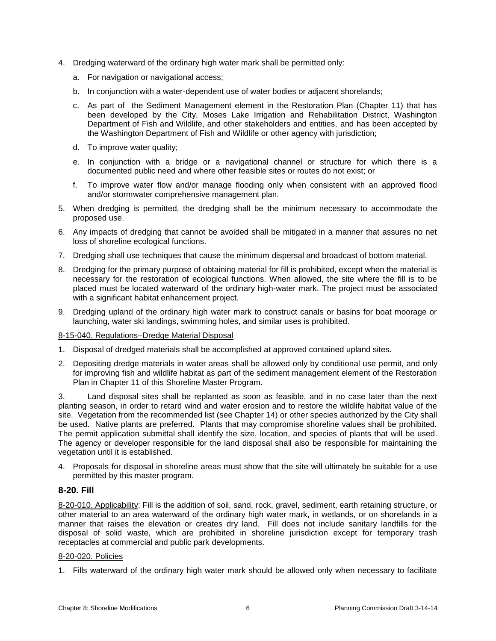- 4. Dredging waterward of the ordinary high water mark shall be permitted only:
	- a. For navigation or navigational access;
	- b. In conjunction with a water-dependent use of water bodies or adjacent shorelands;
	- c. As part of the Sediment Management element in the Restoration Plan (Chapter 11) that has been developed by the City, Moses Lake Irrigation and Rehabilitation District, Washington Department of Fish and Wildlife, and other stakeholders and entities, and has been accepted by the Washington Department of Fish and Wildlife or other agency with jurisdiction;
	- d. To improve water quality;
	- e. In conjunction with a bridge or a navigational channel or structure for which there is a documented public need and where other feasible sites or routes do not exist; or
	- f. To improve water flow and/or manage flooding only when consistent with an approved flood and/or stormwater comprehensive management plan.
- 5. When dredging is permitted, the dredging shall be the minimum necessary to accommodate the proposed use.
- 6. Any impacts of dredging that cannot be avoided shall be mitigated in a manner that assures no net loss of shoreline ecological functions.
- 7. Dredging shall use techniques that cause the minimum dispersal and broadcast of bottom material.
- 8. Dredging for the primary purpose of obtaining material for fill is prohibited, except when the material is necessary for the restoration of ecological functions. When allowed, the site where the fill is to be placed must be located waterward of the ordinary high-water mark. The project must be associated with a significant habitat enhancement project.
- 9. Dredging upland of the ordinary high water mark to construct canals or basins for boat moorage or launching, water ski landings, swimming holes, and similar uses is prohibited.

### 8-15-040. Regulations–Dredge Material Disposal

- 1. Disposal of dredged materials shall be accomplished at approved contained upland sites.
- 2. Depositing dredge materials in water areas shall be allowed only by conditional use permit, and only for improving fish and wildlife habitat as part of the sediment management element of the Restoration Plan in Chapter 11 of this Shoreline Master Program.

3. Land disposal sites shall be replanted as soon as feasible, and in no case later than the next planting season, in order to retard wind and water erosion and to restore the wildlife habitat value of the site. Vegetation from the recommended list (see Chapter 14) or other species authorized by the City shall be used. Native plants are preferred. Plants that may compromise shoreline values shall be prohibited. The permit application submittal shall identify the size, location, and species of plants that will be used. The agency or developer responsible for the land disposal shall also be responsible for maintaining the vegetation until it is established.

4. Proposals for disposal in shoreline areas must show that the site will ultimately be suitable for a use permitted by this master program.

### **8-20. Fill**

8-20-010. Applicability: Fill is the addition of soil, sand, rock, gravel, sediment, earth retaining structure, or other material to an area waterward of the ordinary high water mark, in wetlands, or on shorelands in a manner that raises the elevation or creates dry land. Fill does not include sanitary landfills for the disposal of solid waste, which are prohibited in shoreline jurisdiction except for temporary trash receptacles at commercial and public park developments.

### 8-20-020. Policies

1. Fills waterward of the ordinary high water mark should be allowed only when necessary to facilitate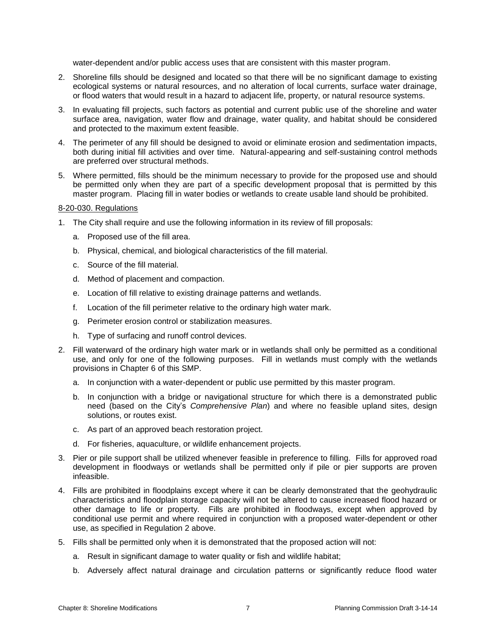water-dependent and/or public access uses that are consistent with this master program.

- 2. Shoreline fills should be designed and located so that there will be no significant damage to existing ecological systems or natural resources, and no alteration of local currents, surface water drainage, or flood waters that would result in a hazard to adjacent life, property, or natural resource systems.
- 3. In evaluating fill projects, such factors as potential and current public use of the shoreline and water surface area, navigation, water flow and drainage, water quality, and habitat should be considered and protected to the maximum extent feasible.
- 4. The perimeter of any fill should be designed to avoid or eliminate erosion and sedimentation impacts, both during initial fill activities and over time. Natural-appearing and self-sustaining control methods are preferred over structural methods.
- 5. Where permitted, fills should be the minimum necessary to provide for the proposed use and should be permitted only when they are part of a specific development proposal that is permitted by this master program. Placing fill in water bodies or wetlands to create usable land should be prohibited.

#### 8-20-030. Regulations

- 1. The City shall require and use the following information in its review of fill proposals:
	- a. Proposed use of the fill area.
	- b. Physical, chemical, and biological characteristics of the fill material.
	- c. Source of the fill material.
	- d. Method of placement and compaction.
	- e. Location of fill relative to existing drainage patterns and wetlands.
	- f. Location of the fill perimeter relative to the ordinary high water mark.
	- g. Perimeter erosion control or stabilization measures.
	- h. Type of surfacing and runoff control devices.
- 2. Fill waterward of the ordinary high water mark or in wetlands shall only be permitted as a conditional use, and only for one of the following purposes. Fill in wetlands must comply with the wetlands provisions in Chapter 6 of this SMP.
	- a. In conjunction with a water-dependent or public use permitted by this master program.
	- b. In conjunction with a bridge or navigational structure for which there is a demonstrated public need (based on the City's *Comprehensive Plan*) and where no feasible upland sites, design solutions, or routes exist.
	- c. As part of an approved beach restoration project.
	- d. For fisheries, aquaculture, or wildlife enhancement projects.
- 3. Pier or pile support shall be utilized whenever feasible in preference to filling. Fills for approved road development in floodways or wetlands shall be permitted only if pile or pier supports are proven infeasible.
- 4. Fills are prohibited in floodplains except where it can be clearly demonstrated that the geohydraulic characteristics and floodplain storage capacity will not be altered to cause increased flood hazard or other damage to life or property. Fills are prohibited in floodways, except when approved by conditional use permit and where required in conjunction with a proposed water-dependent or other use, as specified in Regulation 2 above.
- 5. Fills shall be permitted only when it is demonstrated that the proposed action will not:
	- a. Result in significant damage to water quality or fish and wildlife habitat;
	- b. Adversely affect natural drainage and circulation patterns or significantly reduce flood water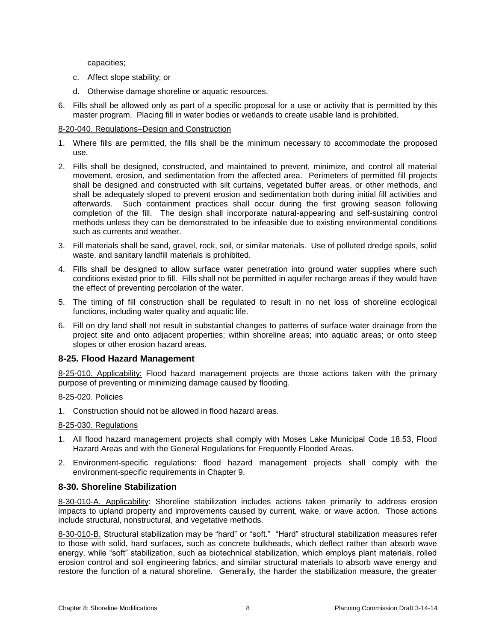capacities;

- c. Affect slope stability; or
- d. Otherwise damage shoreline or aquatic resources.
- 6. Fills shall be allowed only as part of a specific proposal for a use or activity that is permitted by this master program. Placing fill in water bodies or wetlands to create usable land is prohibited.

### 8-20-040. Regulations–Design and Construction

- 1. Where fills are permitted, the fills shall be the minimum necessary to accommodate the proposed use.
- 2. Fills shall be designed, constructed, and maintained to prevent, minimize, and control all material movement, erosion, and sedimentation from the affected area. Perimeters of permitted fill projects shall be designed and constructed with silt curtains, vegetated buffer areas, or other methods, and shall be adequately sloped to prevent erosion and sedimentation both during initial fill activities and afterwards. Such containment practices shall occur during the first growing season following completion of the fill. The design shall incorporate natural-appearing and self-sustaining control methods unless they can be demonstrated to be infeasible due to existing environmental conditions such as currents and weather.
- 3. Fill materials shall be sand, gravel, rock, soil, or similar materials. Use of polluted dredge spoils, solid waste, and sanitary landfill materials is prohibited.
- 4. Fills shall be designed to allow surface water penetration into ground water supplies where such conditions existed prior to fill. Fills shall not be permitted in aquifer recharge areas if they would have the effect of preventing percolation of the water.
- 5. The timing of fill construction shall be regulated to result in no net loss of shoreline ecological functions, including water quality and aquatic life.
- 6. Fill on dry land shall not result in substantial changes to patterns of surface water drainage from the project site and onto adjacent properties; within shoreline areas; into aquatic areas; or onto steep slopes or other erosion hazard areas.

### **8-25. Flood Hazard Management**

8-25-010. Applicability: Flood hazard management projects are those actions taken with the primary purpose of preventing or minimizing damage caused by flooding.

### 8-25-020. Policies

1. Construction should not be allowed in flood hazard areas.

### 8-25-030. Regulations

- 1. All flood hazard management projects shall comply with Moses Lake Municipal Code 18.53, Flood Hazard Areas and with the General Regulations for Frequently Flooded Areas.
- 2. Environment-specific regulations: flood hazard management projects shall comply with the environment-specific requirements in Chapter 9.

### **8-30. Shoreline Stabilization**

8-30-010-A. Applicability: Shoreline stabilization includes actions taken primarily to address erosion impacts to upland property and improvements caused by current, wake, or wave action. Those actions include structural, nonstructural, and vegetative methods.

8-30-010-B. Structural stabilization may be "hard" or "soft." "Hard" structural stabilization measures refer to those with solid, hard surfaces, such as concrete bulkheads, which deflect rather than absorb wave energy, while "soft" stabilization, such as biotechnical stabilization, which employs plant materials, rolled erosion control and soil engineering fabrics, and similar structural materials to absorb wave energy and restore the function of a natural shoreline. Generally, the harder the stabilization measure, the greater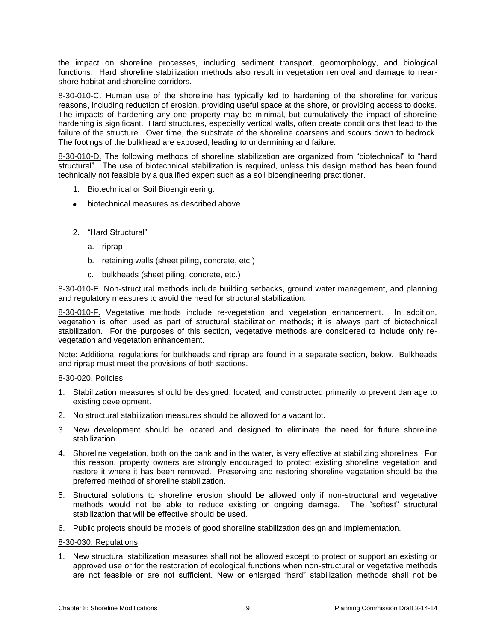the impact on shoreline processes, including sediment transport, geomorphology, and biological functions. Hard shoreline stabilization methods also result in vegetation removal and damage to nearshore habitat and shoreline corridors.

8-30-010-C. Human use of the shoreline has typically led to hardening of the shoreline for various reasons, including reduction of erosion, providing useful space at the shore, or providing access to docks. The impacts of hardening any one property may be minimal, but cumulatively the impact of shoreline hardening is significant. Hard structures, especially vertical walls, often create conditions that lead to the failure of the structure. Over time, the substrate of the shoreline coarsens and scours down to bedrock. The footings of the bulkhead are exposed, leading to undermining and failure.

8-30-010-D. The following methods of shoreline stabilization are organized from "biotechnical" to "hard structural". The use of biotechnical stabilization is required, unless this design method has been found technically not feasible by a qualified expert such as a soil bioengineering practitioner.

- 1. Biotechnical or Soil Bioengineering:
- biotechnical measures as described above
- 2. "Hard Structural"
	- a. riprap
	- b. retaining walls (sheet piling, concrete, etc.)
	- c. bulkheads (sheet piling, concrete, etc.)

8-30-010-E. Non-structural methods include building setbacks, ground water management, and planning and regulatory measures to avoid the need for structural stabilization.

8-30-010-F. Vegetative methods include re-vegetation and vegetation enhancement. In addition, vegetation is often used as part of structural stabilization methods; it is always part of biotechnical stabilization. For the purposes of this section, vegetative methods are considered to include only revegetation and vegetation enhancement.

Note: Additional regulations for bulkheads and riprap are found in a separate section, below. Bulkheads and riprap must meet the provisions of both sections.

#### 8-30-020. Policies

- 1. Stabilization measures should be designed, located, and constructed primarily to prevent damage to existing development.
- 2. No structural stabilization measures should be allowed for a vacant lot.
- 3. New development should be located and designed to eliminate the need for future shoreline stabilization.
- 4. Shoreline vegetation, both on the bank and in the water, is very effective at stabilizing shorelines. For this reason, property owners are strongly encouraged to protect existing shoreline vegetation and restore it where it has been removed. Preserving and restoring shoreline vegetation should be the preferred method of shoreline stabilization.
- 5. Structural solutions to shoreline erosion should be allowed only if non-structural and vegetative methods would not be able to reduce existing or ongoing damage. The "softest" structural stabilization that will be effective should be used.
- 6. Public projects should be models of good shoreline stabilization design and implementation.

### 8-30-030. Regulations

1. New structural stabilization measures shall not be allowed except to protect or support an existing or approved use or for the restoration of ecological functions when non-structural or vegetative methods are not feasible or are not sufficient. New or enlarged "hard" stabilization methods shall not be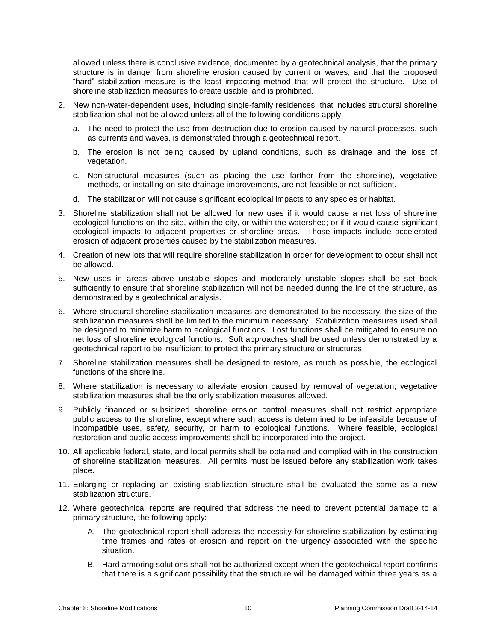allowed unless there is conclusive evidence, documented by a geotechnical analysis, that the primary structure is in danger from shoreline erosion caused by current or waves, and that the proposed "hard" stabilization measure is the least impacting method that will protect the structure. Use of shoreline stabilization measures to create usable land is prohibited.

- 2. New non-water-dependent uses, including single-family residences, that includes structural shoreline stabilization shall not be allowed unless all of the following conditions apply:
	- a. The need to protect the use from destruction due to erosion caused by natural processes, such as currents and waves, is demonstrated through a geotechnical report.
	- b. The erosion is not being caused by upland conditions, such as drainage and the loss of vegetation.
	- c. Non-structural measures (such as placing the use farther from the shoreline), vegetative methods, or installing on-site drainage improvements, are not feasible or not sufficient.
	- d. The stabilization will not cause significant ecological impacts to any species or habitat.
- 3. Shoreline stabilization shall not be allowed for new uses if it would cause a net loss of shoreline ecological functions on the site, within the city, or within the watershed; or if it would cause significant ecological impacts to adjacent properties or shoreline areas. Those impacts include accelerated erosion of adjacent properties caused by the stabilization measures.
- 4. Creation of new lots that will require shoreline stabilization in order for development to occur shall not be allowed.
- 5. New uses in areas above unstable slopes and moderately unstable slopes shall be set back sufficiently to ensure that shoreline stabilization will not be needed during the life of the structure, as demonstrated by a geotechnical analysis.
- 6. Where structural shoreline stabilization measures are demonstrated to be necessary, the size of the stabilization measures shall be limited to the minimum necessary. Stabilization measures used shall be designed to minimize harm to ecological functions. Lost functions shall be mitigated to ensure no net loss of shoreline ecological functions. Soft approaches shall be used unless demonstrated by a geotechnical report to be insufficient to protect the primary structure or structures.
- 7. Shoreline stabilization measures shall be designed to restore, as much as possible, the ecological functions of the shoreline.
- 8. Where stabilization is necessary to alleviate erosion caused by removal of vegetation, vegetative stabilization measures shall be the only stabilization measures allowed.
- 9. Publicly financed or subsidized shoreline erosion control measures shall not restrict appropriate public access to the shoreline, except where such access is determined to be infeasible because of incompatible uses, safety, security, or harm to ecological functions. Where feasible, ecological restoration and public access improvements shall be incorporated into the project.
- 10. All applicable federal, state, and local permits shall be obtained and complied with in the construction of shoreline stabilization measures. All permits must be issued before any stabilization work takes place.
- 11. Enlarging or replacing an existing stabilization structure shall be evaluated the same as a new stabilization structure.
- 12. Where geotechnical reports are required that address the need to prevent potential damage to a primary structure, the following apply:
	- A. The geotechnical report shall address the necessity for shoreline stabilization by estimating time frames and rates of erosion and report on the urgency associated with the specific situation.
	- B. Hard armoring solutions shall not be authorized except when the geotechnical report confirms that there is a significant possibility that the structure will be damaged within three years as a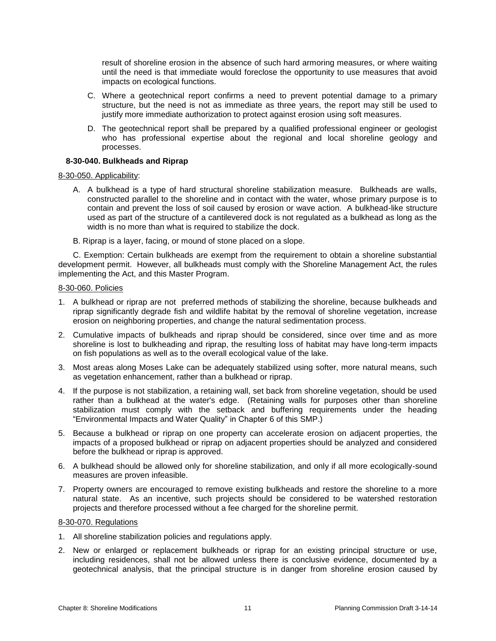result of shoreline erosion in the absence of such hard armoring measures, or where waiting until the need is that immediate would foreclose the opportunity to use measures that avoid impacts on ecological functions.

- C. Where a geotechnical report confirms a need to prevent potential damage to a primary structure, but the need is not as immediate as three years, the report may still be used to justify more immediate authorization to protect against erosion using soft measures.
- D. The geotechnical report shall be prepared by a qualified professional engineer or geologist who has professional expertise about the regional and local shoreline geology and processes.

### **8-30-040. Bulkheads and Riprap**

### 8-30-050. Applicability:

- A. A bulkhead is a type of hard structural shoreline stabilization measure. Bulkheads are walls, constructed parallel to the shoreline and in contact with the water, whose primary purpose is to contain and prevent the loss of soil caused by erosion or wave action. A bulkhead-like structure used as part of the structure of a cantilevered dock is not regulated as a bulkhead as long as the width is no more than what is required to stabilize the dock.
- B. Riprap is a layer, facing, or mound of stone placed on a slope.

C. Exemption: Certain bulkheads are exempt from the requirement to obtain a shoreline substantial development permit. However, all bulkheads must comply with the Shoreline Management Act, the rules implementing the Act, and this Master Program.

### 8-30-060. Policies

- 1. A bulkhead or riprap are not preferred methods of stabilizing the shoreline, because bulkheads and riprap significantly degrade fish and wildlife habitat by the removal of shoreline vegetation, increase erosion on neighboring properties, and change the natural sedimentation process.
- 2. Cumulative impacts of bulkheads and riprap should be considered, since over time and as more shoreline is lost to bulkheading and riprap, the resulting loss of habitat may have long-term impacts on fish populations as well as to the overall ecological value of the lake.
- 3. Most areas along Moses Lake can be adequately stabilized using softer, more natural means, such as vegetation enhancement, rather than a bulkhead or riprap.
- 4. If the purpose is not stabilization, a retaining wall, set back from shoreline vegetation, should be used rather than a bulkhead at the water's edge. (Retaining walls for purposes other than shoreline stabilization must comply with the setback and buffering requirements under the heading "Environmental Impacts and Water Quality" in Chapter 6 of this SMP.)
- 5. Because a bulkhead or riprap on one property can accelerate erosion on adjacent properties, the impacts of a proposed bulkhead or riprap on adjacent properties should be analyzed and considered before the bulkhead or riprap is approved.
- 6. A bulkhead should be allowed only for shoreline stabilization, and only if all more ecologically-sound measures are proven infeasible.
- 7. Property owners are encouraged to remove existing bulkheads and restore the shoreline to a more natural state. As an incentive, such projects should be considered to be watershed restoration projects and therefore processed without a fee charged for the shoreline permit.

### 8-30-070. Regulations

- 1. All shoreline stabilization policies and regulations apply.
- 2. New or enlarged or replacement bulkheads or riprap for an existing principal structure or use, including residences, shall not be allowed unless there is conclusive evidence, documented by a geotechnical analysis, that the principal structure is in danger from shoreline erosion caused by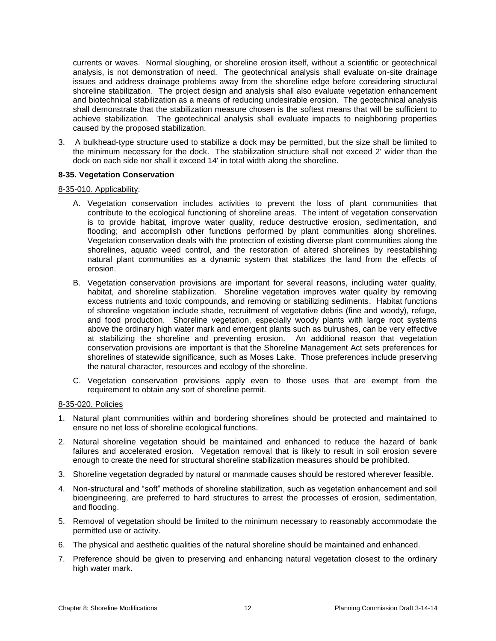currents or waves. Normal sloughing, or shoreline erosion itself, without a scientific or geotechnical analysis, is not demonstration of need. The geotechnical analysis shall evaluate on-site drainage issues and address drainage problems away from the shoreline edge before considering structural shoreline stabilization. The project design and analysis shall also evaluate vegetation enhancement and biotechnical stabilization as a means of reducing undesirable erosion. The geotechnical analysis shall demonstrate that the stabilization measure chosen is the softest means that will be sufficient to achieve stabilization. The geotechnical analysis shall evaluate impacts to neighboring properties caused by the proposed stabilization.

3. A bulkhead-type structure used to stabilize a dock may be permitted, but the size shall be limited to the minimum necessary for the dock. The stabilization structure shall not exceed 2' wider than the dock on each side nor shall it exceed 14' in total width along the shoreline.

### **8-35. Vegetation Conservation**

#### 8-35-010. Applicability:

- A. Vegetation conservation includes activities to prevent the loss of plant communities that contribute to the ecological functioning of shoreline areas. The intent of vegetation conservation is to provide habitat, improve water quality, reduce destructive erosion, sedimentation, and flooding; and accomplish other functions performed by plant communities along shorelines. Vegetation conservation deals with the protection of existing diverse plant communities along the shorelines, aquatic weed control, and the restoration of altered shorelines by reestablishing natural plant communities as a dynamic system that stabilizes the land from the effects of erosion.
- B. Vegetation conservation provisions are important for several reasons, including water quality, habitat, and shoreline stabilization. Shoreline vegetation improves water quality by removing excess nutrients and toxic compounds, and removing or stabilizing sediments. Habitat functions of shoreline vegetation include shade, recruitment of vegetative debris (fine and woody), refuge, and food production. Shoreline vegetation, especially woody plants with large root systems above the ordinary high water mark and emergent plants such as bulrushes, can be very effective at stabilizing the shoreline and preventing erosion. An additional reason that vegetation conservation provisions are important is that the Shoreline Management Act sets preferences for shorelines of statewide significance, such as Moses Lake. Those preferences include preserving the natural character, resources and ecology of the shoreline.
- C. Vegetation conservation provisions apply even to those uses that are exempt from the requirement to obtain any sort of shoreline permit.

#### 8-35-020. Policies

- 1. Natural plant communities within and bordering shorelines should be protected and maintained to ensure no net loss of shoreline ecological functions.
- 2. Natural shoreline vegetation should be maintained and enhanced to reduce the hazard of bank failures and accelerated erosion. Vegetation removal that is likely to result in soil erosion severe enough to create the need for structural shoreline stabilization measures should be prohibited.
- 3. Shoreline vegetation degraded by natural or manmade causes should be restored wherever feasible.
- 4. Non-structural and "soft" methods of shoreline stabilization, such as vegetation enhancement and soil bioengineering, are preferred to hard structures to arrest the processes of erosion, sedimentation, and flooding.
- 5. Removal of vegetation should be limited to the minimum necessary to reasonably accommodate the permitted use or activity.
- 6. The physical and aesthetic qualities of the natural shoreline should be maintained and enhanced.
- 7. Preference should be given to preserving and enhancing natural vegetation closest to the ordinary high water mark.